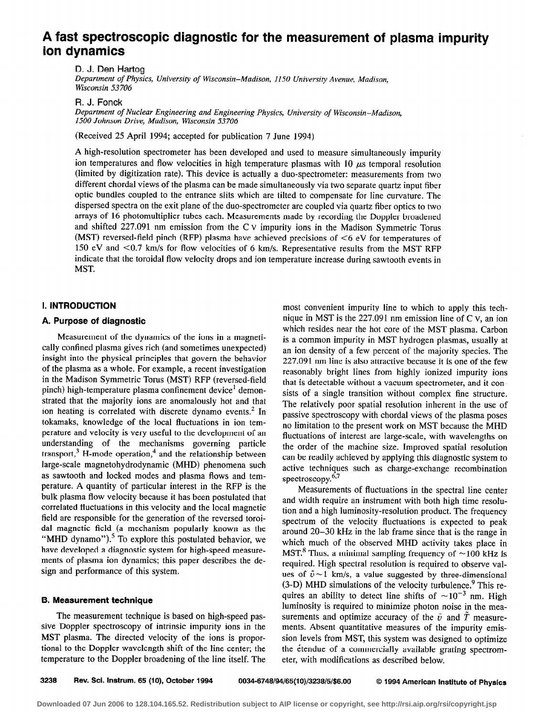# A fast spectroscopic diagnostic for the measurement of plasma impurity ion dynamics

D. J. Den Hartog Department of Physics, University of Wisconsin-Madison, 1150 University Avenue, Madison, Wisconsin 53706

### R. J. Fonck

Department of Nuclear Engineering and Engineering Physics, University of Wisconsin-Madison, I.500 Johnson Drive, Madison, Wisconsin 53706

(Received 25 April 1994; accepted for publication 7 June 1994)

A high-resolution spectrometer has been developed and used to measure simultaneously impurity ion temperatures and flow velocities in high temperature plasmas with  $10 \mu s$  temporal resolution (limited by digitization rate). This device is actually a duo-spectrometer: measurements from two different chordal views of the plasma can be made simultaneously via two separate quartz input fiber optic bundles coupled to the entrance slits which are tilted to compensate for line curvature. The dispersed spectra on the exit plane of the duo-spectrometer are coupled via quartz fiber optics to two arrays of 16 photomultiplier tubes each. Measurements made by recording the Doppler broadened and shifted  $227.091$  nm emission from the C  $V$  impurity ions in the Madison Symmetric Torus (MST) reversed-field pinch (RFP) plasma have achieved precisions of <6 eV for temperatures of 150 eV and CO.7 km/s for flow velocities of 6 km/s. Representative results from the MST RFP indicate that the toroidal flow velocity drops and ion temperature increase during sawtooth events in

# I. INTRODUCTION

#### A. Purpose of diagnostic

Measurement of the dynamics of the ions in a magnetically confined plasma gives rich (and sometimes unexpected) insight into the physical principles that govern the behavior of the plasma as a whole. For example, a recent investigation in the Madison Symmetric Torus (MST) RFP (reversed-field pinch) high-temperature plasma confinement device' demonstrated that the majority ions are anomalously hot and that ion heating is correlated with discrete dynamo events.<sup>2</sup> In tokamaks, knowledge of the local fluctuations in ion temperature and velocity is very useful to the development of an understanding of the mechanisms governing particle transport, $3$  H-mode operation, $4$  and the relationship between large-scale magnetohydrodynamic (MHD) phenomena such as sawtooth and locked modes and plasma flows and temperature. A quantity of particular interest in the RFP is the bulk plasma flow velocity because it has been postulated that correlated fluctuations in this velocity and the local magnetic field are responsible for the generation of the reversed toroida1 magnetic field (a mechanism popularly known as the "MHD dynamo").<sup>5</sup> To explore this postulated behavior, we have developed a diagnostic system for high-speed measurements of plasma ion dynamics; this paper describes the design and performance of this system.

#### 6. Measurement technique

The measurement technique is based on high-speed passive Doppler spectroscopy of intrinsic impurity ions in the MST plasma. The directed velocity of the ions is proportional to the Doppler wavelength shift of the line center; the temperature to the Doppler broadening of the line itself. The

most convenient impurity line to which to apply this technique in MST is the 227.091 nm emission line of C V, an ion which resides near the hot core of the MST plasma. Carbon is a common impurity in MST hydrogen plasmas, usually at an ion density of a few percent of the majority species. The 227.091 nm line is also attractive because it is one of the few reasonably bright lines from highly ionized impurity ions that is detectable without a vacuum spectrometer, and it consists of a single transition without complex fine structure. The relatively poor spatial resolution inherent in the use of passive spectroscopy with chordal views of the plasma poses no limitation to the present work on MST because the MHD fluctuations of interest are large-scale, with wavelengths on the order of the machine size. Improved spatial resolution can be readily achieved by applying this diagnostic system to active techniques such as charge-exchange recombination spectroscopy. $6.7$ 

Measurements of fluctuations in the spectral line center and width require an instrument with both high time resolution and a high luminosity-resolution product. The frequency spectrum of the velocity fluctuations is expected to peak around 20-30 kHz in the lab frame since that is the range in which much of the observed MHD activity takes place in MST.<sup>8</sup> Thus, a minimal sampling frequency of  $\sim$ 100 kHz is required. High spectral resolution is required to observe values of  $\tilde{v}$  -1 km/s, a value suggested by three-dimensional (3-D) MHD simulations of the velocity turbulence? This requires an ability to detect line shifts of  $\sim 10^{-3}$  nm. High luminosity is required to minimize photon noise in the measurements and optimize accuracy of the  $\tilde{\nu}$  and  $\tilde{T}$  measurements. Absent quantitative measures of the impurity emission levels from MST, this system was designed to optimize the étendue of a commercially available grating spectrometer, with modifications as described below.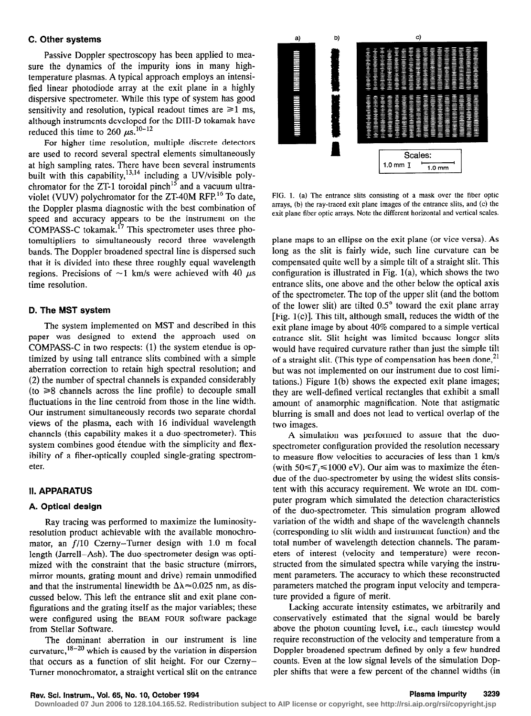# C. Other systems

Passive Doppler spectroscopy has been applied to measure the dynamics of the impurity ions in many hightemperature plasmas. A typical approach employs an intensified linear photodiode array at the exit plane in a highly dispersive spectrometer. While this type of system has good sensitivity and resolution, typical readout times are  $\geq 1$  ms, although instruments developed for the DIR-D tokamak have reduced this time to 260  $\mu$ s.<sup>10-12</sup>

For higher time resolution, multiple discrete detectors are used to record several spectral elements simultaneously at high sampling rates. There have been several instruments built with this capability,  $13,14$  including a UV/visible polychromator for the ZT-1 toroidal pinch<sup>15</sup> and a vacuum ultraviolet (VUV) polychromator for the ZT-40M RFP.16 To date, the Doppler plasma diagnostic with the best combination of speed and accuracy appears to be the instrument on the COMPASS-C tokamak.<sup>17</sup> This spectrometer uses three photomultipliers to simultaneously record three wavelength bands. The Doppler broadened spectral line is dispersed such that it is divided into these three roughly equal wavelength regions. Precisions of  $\sim$ 1 km/s were achieved with 40  $\mu$ s time resolution.

#### D. The MST system

The system implemented on MST and described in this paper was designed to extend the approach used on COMPASS-C in two respects: (1) the system etendue is optimized by using tall entrance slits combined with a simple aberration correction to retain high spectral resolution; and (2) the number of spectral channels is expanded considerably  $(to \ge 8$  channels across the line profile) to decouple small fluctuations in the line centroid from those in the line width. Our instrument simultaneously records two separate chordal views of the plasma, each with 16 individual wavelength channels (this capability makes it a duo-spectrometer). This system combines good étendue with the simplicity and flexibility of a fiber-optically coupled single-grating spectrometer.

#### II. APPARATUS

# A. Optical design

Ray tracing was performed to maximize the luminosityresolution product achievable with the available monochromator, an f/l0 Czerny-Turner design with 1.0 m focal length (Jarrell-Ash). The duo-spectrometer design was optimized with the constraint that the basic structure (mirrors, mirror mounts, grating mount and drive) remain unmodified and that the instrumental linewidth be  $\Delta\lambda \approx 0.025$  nm, as discussed below. This left the entrance slit and exit plane configurations and the grating itself as the major variables; these were configured using the BEAM FOUR software package from Stellar Software.

The dominant aberration in our instrument is line curvature,  $18-20$  which is caused by the variation in dispersion that occurs as a function of slit height. For our Czerny-Turner monochromator, a straight vertical slit on the entrance



FIG. 1. (a) The entrance slits consisting of a mask over the fiber optic arrays, (b) the ray-traced exit plane images of the entrance slits, and (c) the exit plane fiber optic arrays. Note the different horizontal and vertical scales.

plane maps to an ellipse on the exit plane (or vice versa). As long as the slit is fairly wide, such line curvature can be compensated quite well by a simple tilt of a straight slit. This configuration is illustrated in Fig.  $1(a)$ , which shows the two entrance slits, one above and the other below the optical axis of the spectrometer. The top of the upper slit (and the bottom of the lower slit) are tilted  $0.5^{\circ}$  toward the exit plane array [Fig.  $1(c)$ ]. This tilt, although small, reduces the width of the exit plane image by about 40% compared to a simple vertical entrance slit. Slit height was limited because longer slits would have required curvature rather than just the simple tilt of a straight slit. (This type of compensation has been done,  $2<sup>1</sup>$ but was not implemented on our instrument due to cost limitations.) Figure  $1(b)$  shows the expected exit plane images; they are well-defined vertical rectangles that exhibit a small amount of anamorphic magnification. Note that astigmatic blurring is small and does not lead to vertical overlap of the two images.

A simulation was performed to assure that the duospectrometer configuration provided the resolution necessary to measure flow velocities to accuracies of less than 1 km/s (with  $50 \le T_i \le 1000$  eV). Our aim was to maximize the etendue of the duo-spectrometer by using the widest slits consistent with this accuracy requirement. We wrote an IDL computer program which simulated the detection characteristics of the duo-spectrometer. This simulation program allowed variation of the width and shape of the wavelength channels (corresponding to slit width and instrument function) and the total number of wavelength detection channels. The parameters of interest (velocity and temperature) were reconstructed from the simulated spectra while varying the instrument parameters. The accuracy to which these reconstructed parameters matched the program input velocity and temperature provided a figure of merit.

Lacking accurate intensity estimates, we arbitrarily and conservatively estimated that the signal would be barely above the photon counting level, i.e., each timestep would require reconstruction of the velocity and temperature from a Doppler broadened spectrum defined by only a few hundred counts. Even at the low signal levels of the simulation Doppler shifts that were a few percent of the channel widths (in

**Downloaded 07 Jun 2006 to 128.104.165.52. Redistribution subject to AIP license or copyright, see http://rsi.aip.org/rsi/copyright.jsp**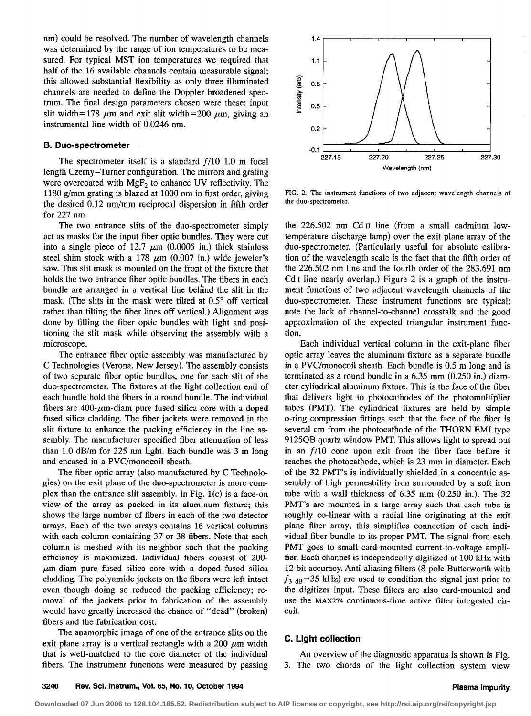nm) could be resolved. The number of wavelength channels was determined by the range of ion temperatures to be measured. For typical MST ion temperatures we required that half of the 16 available channels contain measurable signal; this allowed substantial flexibility as only three illuminated channels are needed to define the Doppler broadened spectrum. The final design parameters chosen were these: input slit width=178  $\mu$ m and exit slit width=200  $\mu$ m, giving an instrumental line width of 0.0246 nm.

#### 6. Duo-spectrometer

The spectrometer itself is a standard  $f/10$  1.0 m focal length Czemy-Turner configuration. The mirrors and grating were overcoated with  $MgF_2$  to enhance UV reflectivity. The 1180 g/mm grating is blazed at 1000 nm in first order, giving the desired 0.12 nm/mm reciprocal dispersion in fifth order for 227 nm.

The two entrance slits of the duo-spectrometer simply act as masks for the input fiber optic bundles. They were cut into a single piece of 12.7  $\mu$ m (0.0005 in.) thick stainless steel shim stock with a 178  $\mu$ m (0.007 in.) wide jeweler's saw. This slit mask is mounted on the front of the fixture that holds the two entrance fiber optic bundles. The fibers in each bundle are arranged in a vertical line behind the slit in the mask. (The slits in the mask were tilted at 0.5° off vertical rather than tilting the fiber lines off vertical.) Alignment was done by filling the fiber optic bundles with light and positioning the slit mask while observing the assembly with a microscope.

The entrance fiber optic assembly was manufactured by C Technologies (Verona, New Jersey). The assembly consists of two separate fiber optic bundles, one for each slit of the duo-spectrometer. The fixtures at the light collection end of each bundle hold the fibers in a round bundle. The individual fibers are 400- $\mu$ m-diam pure fused silica core with a doped fused silica cladding. The fiber jackets were removed in the slit fixture to enhance the packing efficiency in the line assembly. The manufacturer specified fiber attenuation of less than 1.0 dB/m for 225 nm light. Each bundle was 3 m long and encased in a PVC/monocoil sheath.

The fiber optic array (also manufactured by C Technologies) on the exit plane of the duo-spectrometer is more complex than the entrance slit assembly. In Fig.  $1(c)$  is a face-on view of the array as packed in its aluminum fixture; this shows the large number of fibers in each of the two detector arrays. Each of the two arrays contains 16 vertical columns with each column containing 37 or 38 fibers. Note that each column is meshed with its neighbor such that the packing efficiency is maximized. Individual fibers consist of 200-  $\mu$ m-diam pure fused silica core with a doped fused silica cladding. The polyamide jackets on the fibers were left intact even though doing so reduced the packing efficiency: removal of the jackets prior to fabrication of the assembly would have greatly increased the chance of "dead" (broken) fibers and the fabrication cost.

The anamorphic image of one of the entrance slits on the exit plane array is a vertical rectangle with a 200  $\mu$ m width that is well-matched to the core diameter of the individual fibers. The instrument functions were measured by passing



FIG. 2. The instrument functions of two adjacent wavelength channels of the duo-spectrometer.

the 226.502 nm Cd II line (from a small cadmium lowtemperature discharge lamp) over the exit plane array of the duo-spectrometer. (Particularly useful for absolute calibration of the wavelength scale is the fact that the fifth order of the 226.502 nm line and the fourth order of the 283.691 nm Cd I line nearly overlap.) Figure 2 is a graph of the instrument functions of two adjacent wavelength channels of the duo-spectrometer. These instrument functions are typical; note the lack of channel-to-channel crosstalk and the good approximation of the expected triangular instrument function.

Each individual vertical column in the exit-plane fiber optic array leaves the aluminum fixture as a separate bundle in a PVC/monocoil sheath. Each bundle is 0.5 m long and is terminated as a round bundle in a 6.35 mm (0.250 in.) diameter cylindrical aluminum fixture. This is the face of the fiber that delivers light to photocathodes of the photomultiplier tubes (PMT). The cylindrical fixtures are held by simple o-ring compression fittings such that the face of the fiber is several cm from the photocathode of the THORN EM1 type 9125QB quartz window PMT. This allows light to spread out in an f/l0 cone upon exit from the fiber face before it reaches the photocathode, which is 23 mm in diameter. Each of the 32 PMT's is individually shielded in a concentric assembly of high permeability iron surrounded by a soft iron tube with a wall thickness of 6.35 mm (0.250 in.). The 32 PMT's are mounted in a large array such that each tube is roughly co-linear with a radial line originating at the exit plane fiber array; this simplifies connection of each individual fiber bundle to its proper PMT. The signal from each PMT goes to small card-mounted current-to-voltage amplifier. Each channel is independently digitized at 100 kHz with 12-bit accuracy. Anti-aliasing filters (8-pole Butterworth with  $f_{3 \text{ dB}}$ =35 kHz) are used to condition the signal just prior to the digitizer input. These filters are also card-mounted and use the MAX274 continuous-time active filter integrated circuit.

### C. Light collection

An overview of the diagnostic apparatus is shown is Fig. 3. The two chords of the light collection system view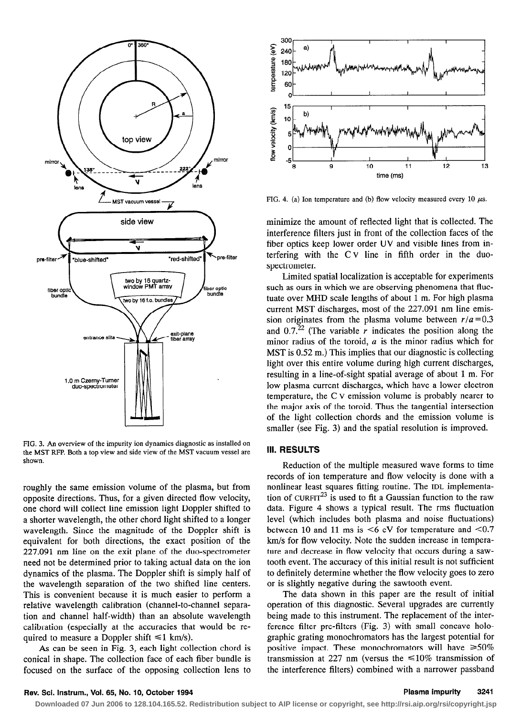

FIG. 3. An overview of the impurity ion dynamics diagnostic as installed on the MST RFP. Both a top view and side view of the MST vacuum vessel are shown.

roughly the same emission volume of the plasma, but from opposite directions. Thus, for a given directed flow velocity, one chord will collect line emission light Doppler shifted to a shorter wavelength, the other chord light shifted to a longer wavelength. Since the magnitude of the Doppler shift is equivalent for both directions, the exact position of the 227.091 nm line on the exit plane of the duo-spectrometer need not be determined prior to taking actual data on the ion dynamics of the plasma. The Doppler shift is simply half of the wavelength separation of the two shifted line centers. This is convenient because it is much easier to perform a relative wavelength calibration (channel-to-channel separation and channel half-width) than an absolute wavelength calibration (especially at the accuracies that would be required to measure a Doppler shift  $\leq 1$  km/s).

As can be seen in Fig. 3, each light collection chord is conical in shape. The collection face of each fiber bundle is focused on the surface of the opposing collection lens to



FIG. 4. (a) Ion temperature and (b) flow velocity measured every 10  $\mu$ s.

minimize the amount of reflected light that is collected. The interference filters just in front of the collection faces of the fiber optics keep lower order UV and visible lines from interfering with the C v line in fifth order in the duospectrometer.

Limited spatial localization is acceptable for experiments such as ours in which we are observing phenomena that fluctuate over MHD scale lengths of about 1 m. For high plasma current MST discharges, most of the 227.091 nm line emission originates from the plasma volume between  $r/a = 0.3$ and  $0.7<sup>22</sup>$  (The variable r indicates the position along the minor radius of the toroid, a is the minor radius which for MST is 0.52 m.) This implies that our diagnostic is collecting light over this entire volume during high current discharges, resulting in a line-of-sight spatial average of about 1 m. For low plasma current discharges, which have a lower electron temperature, the C v emission volume is probably nearer to the major axis of the toroid. Thus the tangential intersection of the light collection chords and the emission volume is smaller (see Fig. 3) and the spatial resolution is improved.

# 111. RESULTS

Reduction of the multiple measured wave forms to time records of ion temperature and flow velocity is done with a nonlinear least squares fitting routine. The IDL implementation of CURFIT<sup>23</sup> is used to fit a Gaussian function to the raw data. Figure 4 shows a typical result. The rms fluctuation level (which includes both plasma and noise fluctuations) between 10 and 11 ms is  $<6$  eV for temperature and  $<0.7$ km/s for flow velocity. Note the sudden increase in temperature and decrease in flow velocity that occurs during a sawtooth event. The accuracy of this initial result is not sufficient to definitely determine whether the flow velocity goes to zero or is slightly negative during the sawtooth event.

The data shown in this paper are the result of initial operation of this diagnostic. Several upgrades are currently being made to this instrument. The replacement of the interference filter pre-filters (Fig. 3) with small concave holographic grating monochromators has the largest potential for positive impact. These monochromators will have  $\geq 50\%$ transmission at 227 nm (versus the  $\leq 10\%$  transmission of the interference filters) combined with a narrower passband

# Rev. Sci. Instrum., Vol. 65, No. 10, October 1994 Plasma impurity 3241

**Downloaded 07 Jun 2006 to 128.104.165.52. Redistribution subject to AIP license or copyright, see http://rsi.aip.org/rsi/copyright.jsp**